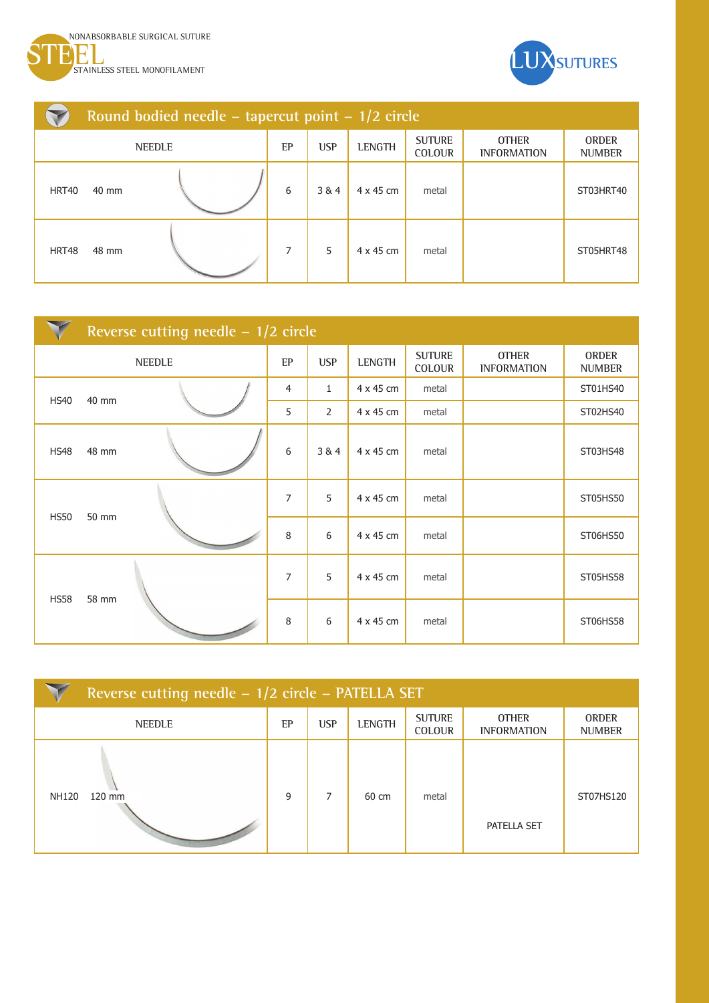



|               | Round bodied needle – tapercut point – $1/2$ circle |  |    |            |                  |                                |                                    |                               |
|---------------|-----------------------------------------------------|--|----|------------|------------------|--------------------------------|------------------------------------|-------------------------------|
| <b>NEEDLE</b> |                                                     |  | EP | <b>USP</b> | <b>LENGTH</b>    | <b>SUTURE</b><br><b>COLOUR</b> | <b>OTHER</b><br><b>INFORMATION</b> | <b>ORDER</b><br><b>NUMBER</b> |
| HRT40         | 40 mm                                               |  | 6  | 3&4        | $4 \times 45$ cm | metal                          |                                    | ST03HRT40                     |
| HRT48         | 48 mm                                               |  | 7  | 5          | $4 \times 45$ cm | metal                          |                                    | ST05HRT48                     |

|             | Reverse cutting needle $-1/2$ circle |  |                |                |               |                         |                                    |                        |
|-------------|--------------------------------------|--|----------------|----------------|---------------|-------------------------|------------------------------------|------------------------|
|             | <b>NEEDLE</b>                        |  | EP             | <b>USP</b>     | <b>LENGTH</b> | <b>SUTURE</b><br>COLOUR | <b>OTHER</b><br><b>INFORMATION</b> | ORDER<br><b>NUMBER</b> |
| <b>HS40</b> | 40 mm                                |  | $\overline{4}$ | $\mathbf{1}$   | 4 x 45 cm     | metal                   |                                    | ST01HS40               |
|             |                                      |  | 5              | $\overline{2}$ | 4 x 45 cm     | metal                   |                                    | ST02HS40               |
| <b>HS48</b> | 48 mm                                |  | 6              | 3&4            | 4 x 45 cm     | metal                   |                                    | ST03HS48               |
| <b>HS50</b> | 50 mm                                |  | $\overline{7}$ | 5              | 4 x 45 cm     | metal                   |                                    | ST05HS50               |
|             |                                      |  | 8              | 6              | 4 x 45 cm     | metal                   |                                    | ST06HS50               |
| <b>HS58</b> |                                      |  | $\overline{7}$ | 5              | 4 x 45 cm     | metal                   |                                    | ST05HS58               |
|             | 58 mm                                |  | 8              | 6              | 4 x 45 cm     | metal                   |                                    | ST06HS58               |

| Reverse cutting needle - 1/2 circle - PATELLA SET |    |            |               |                                |                                    |                               |  |
|---------------------------------------------------|----|------------|---------------|--------------------------------|------------------------------------|-------------------------------|--|
| <b>NEEDLE</b>                                     | EP | <b>USP</b> | <b>LENGTH</b> | <b>SUTURE</b><br><b>COLOUR</b> | <b>OTHER</b><br><b>INFORMATION</b> | <b>ORDER</b><br><b>NUMBER</b> |  |
| 120 mm<br><b>NH120</b>                            | 9  | 7          | 60 cm         | metal                          | PATELLA SET                        | ST07HS120                     |  |